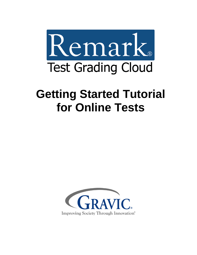

# **Getting Started Tutorial for Online Tests**

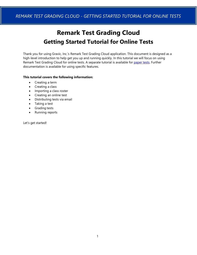## **Remark Test Grading Cloud Getting Started Tutorial for Online Tests**

Thank you for using Gravic, Inc.'s Remark Test Grading Cloud application. This document is designed as a high-level introduction to help get you up and running quickly. In this tutorial we will focus on using Remark Test Grading Cloud for online tests. A separate tutorial is available for [paper tests.](https://remarksoftware.com/support/documentation/test-grading/) Further documentation is available for using specific features.

#### **This tutorial covers the following information:**

- Creating a term
- Creating a class
- Importing a class roster
- Creating an online test
- Distributing tests via email
- Taking a test
- Grading tests
- Running reports

Let's get started!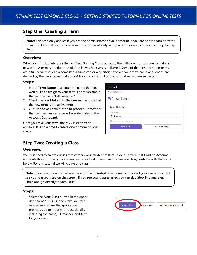## **Step One: Creating a Term**

**Note:** This step only applies if you are the administrator of your account. If you are not theadministrator, then it is likely that your school administrator has already set up a term for you, and you can skip to Step Two.

#### **Overview:**

When you first log into your Remark Test Grading Cloud account, the software prompts you to make a new term. A term is the duration of time in which a class is delivered. Some of the most common terms are a full academic year, a semester, a trimester, or a quarter; however, your term name and length are defined by the parameters that you set for your account. For this tutorial we will use semesters.

#### **Steps:**

- 1. In the **Term Name** box, enter the name that you would like to assign to your term. For this example, the term name is "Fall Semester".
- 2. Check the box **Make this the current term** so that the new term is the active term.
- 3. Click the **Save Term** button to proceed. Remember that term names can always be edited later in the Account Dashboard.

Once you save your term, the My Classes screen appears. It is now time to create one or more of your classes.

| <b>Discard Changes</b> |
|------------------------|
|                        |

## **Step Two: Creating a Class**

#### **Overview:**

You first need to create classes that contain your student rosters. If your Remark Test Grading Account administrator imported your classes, you are all set. If you need to create a class, continue with the steps below. For this tutorial we will create one class.

**Note:** If you are in a school where the school administrator has already imported your classes, you will see your classes listed on the screen. If you see your classes listed you can skip Step Two and Step Three and go directly to Step Four.

#### **Steps:**

1. Select the **New Class** button in the upper right corner. This will then take you to a new screen, where the application prompts you to input your class details, including the name, ID, teacher, and term for your class.

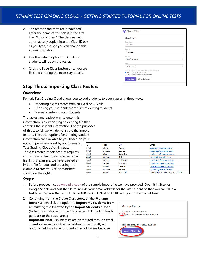- 2. The teacher and term are predefined. Enter the name of your class in the first line: "Tutorial Class". The class name is automatically copied into the Class ID box as you type, though you can change this at your discretion.
- 3. Use the default option of "All of my students will be on the roster."
- 4. Click the **Save Class** button once you are finished entering the necessary details.

| <b>Class Details</b>                                                                                                                                                                            |  |
|-------------------------------------------------------------------------------------------------------------------------------------------------------------------------------------------------|--|
| Class Name                                                                                                                                                                                      |  |
| <b>Tutorial Class</b>                                                                                                                                                                           |  |
| Class ID                                                                                                                                                                                        |  |
| <b>Tutorial Class</b>                                                                                                                                                                           |  |
| Teacher                                                                                                                                                                                         |  |
| Nora Petchkofski                                                                                                                                                                                |  |
| Term                                                                                                                                                                                            |  |
| <b>Fall Semester</b>                                                                                                                                                                            |  |
| How would you like to manage students for this class?<br>All of my students will be on the roster<br>I don't want to use a roster for this class<br><b>Save Class</b><br><b>Discard Changes</b> |  |

## **Step Three: Importing Class Rosters**

#### **Overview:**

Remark Test Grading Cloud allows you to add students to your classes in three ways:

- Importing a class roster from an Excel or CSV file
- Choosing your students from a list of existing students
- Manually entering your students

The fastest and easiest way to enter this information is by importing an existing file that contains the student information. For the purposes of this tutorial, we will demonstrate the import feature. The other options for entering student information are available to you based on your

account permissions set by your Remark Test Grading Cloud Administrator. The class roster import feature requires you to have a class roster in an external file. In this example, we have created an import file for you, and are using the example Microsoft Excel spreadsheet shown on the right.

| <b>ID</b> | First          | Last            | Email                                 |
|-----------|----------------|-----------------|---------------------------------------|
| 1010      | Edward         | Roman           | eroman@example.com                    |
| 2020      | Melissa        | Gomez           | mgomez@example.com                    |
| 3030      | <b>Nicole</b>  | Schaefer        | nschaefer@example.com                 |
| 4040      | Mayson         | Roth            | mroth@example.com                     |
| 5050      | <b>Stanley</b> | Huffman         | shuffman@example.com                  |
| 6060      | Rachel         | <b>Burrows</b>  | rburrows@example.com                  |
| 7070      | Martin         | Deleon          | mdeleon@example.com                   |
| 8080      | Victoria       | Padilla         | vpadilla@example.com                  |
| 9090      | Janice         | <b>Richards</b> | <b>INSERT YOUR EMAIL ADDRESS HERE</b> |

#### **Steps:**

- 1. Before proceeding, [download a copy](https://remarksoftware.com/rtgc-tutorial-class-import-file/) of the sample import file we have provided, Open it in Excel or Google Sheets and edit the file to include your email address for the last student so that you can fill in a test later. Replace the text INSERT YOUR EMAIL ADDRESS HERE with your full email address.
- 2. Continuing from the Create Class steps, on the **Manage Roster** screen click the option to **Import my students from an existing file** followed by the **Import Students** button. (Note: If you returned to the Class page, click the Edit link to get back to the roster area.)

**Important Note:** Online tests are distributed through email. Therefore, even though email address is technically an optional field, we have included email addresses because

| <b>Manage Roster</b>                                                  |  |
|-----------------------------------------------------------------------|--|
| Add students to my roster<br>Import my students from an existing file |  |
| <b>Import Students Into Roster</b><br><b>Import Students</b>          |  |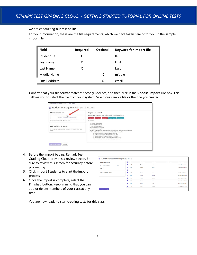we are conducting our test online.

For your information, these are the file requirements, which we have taken care of for you in the sample import file:

| <b>Field</b>  | <b>Required</b> | <b>Optional</b> | <b>Keyword for import file</b> |
|---------------|-----------------|-----------------|--------------------------------|
| Student ID    | X               |                 | ID                             |
| First name    | X               |                 | First                          |
| Last Name     | X               |                 | Last                           |
| Middle Name   |                 | X               | middle                         |
| Email Address |                 | Χ               | email                          |

3. Confirm that your file format matches these guidelines, and then click in the **Choose Import File** box. This allows you to select the file from your system. Select our sample file or the one you created.

| Choose Import File                                                                                    | <b>Import File Format</b>                                                                                                                                                                                                                                                                                                                                                                                                                                                                                                                                                                   |
|-------------------------------------------------------------------------------------------------------|---------------------------------------------------------------------------------------------------------------------------------------------------------------------------------------------------------------------------------------------------------------------------------------------------------------------------------------------------------------------------------------------------------------------------------------------------------------------------------------------------------------------------------------------------------------------------------------------|
| Click to browse or drag file here                                                                     | Each student import record should contain the following fields:<br>Student ID First Name Last Name Middle Name Email Address                                                                                                                                                                                                                                                                                                                                                                                                                                                                |
| Supported formats: CSV. Microsoft Excel.                                                              | Guidelines                                                                                                                                                                                                                                                                                                                                                                                                                                                                                                                                                                                  |
| Add Students To Roster<br>Your imported students will be added to the Tutorial Class class<br>roster. | · Student ID is required<br>· First Name is required<br>· Last Name is required<br>· Middle Name is optional<br>Email Address is optional<br>٠<br>. Fields are expected to be in the order illustrated above (unless using a header row)<br>. Import files with a header row must meet the following criteria:<br>o Student ID column must contain the word. 'ID'<br>o First Name column must contain the word. 'first'<br>o Last Name column must contain the word, last'<br>o Middle Name column must contain the word, 'middle'<br>o Email Address column must contain the word, 'email' |

- 4. Before the import begins, Remark Test Grading Cloud provides a review screen. Be sure to review this screen for accuracy before proceeding.
- 5. Click **Import Students** to start the import process.
- 6. Once the import is complete, select the **Finished** button. Keep in mind that you can add or delete members of your class at any time.

| Choose Import File                                               | $\overline{\phantom{a}}$<br>ID | First Name | Last Name      | Middle Name | <b>Email Address</b>  |
|------------------------------------------------------------------|--------------------------------|------------|----------------|-------------|-----------------------|
| Copy of remarksoftware.xlsx<br>9.73 KB                           | ⊽<br>1010                      | Edward     | Roman          |             | eroman@example.com    |
| Reset                                                            | ø<br>2020                      | Melissa    | Gomez          |             | mgomez@example.com    |
|                                                                  | Ø<br>3030                      | Nicole     | Schaofer       |             | nschaefer@example.com |
| <b>Add Students To Roster</b>                                    | ø<br>4040                      | Mayson     | Roth           |             | mroth@example.com     |
| Your imported students will be added to the assaas class roster. | Ø<br>\$050                     | Stanley    | Huffman        |             | shuffman@example.com  |
|                                                                  | Ø<br>6060                      | Rachel     | <b>Burrows</b> |             | rburrows@example.com  |
|                                                                  | Ø<br>7070                      | Martin     | <b>Deleon</b>  |             | mdeleon@example.com   |
|                                                                  | Ø<br>8080                      | Victoria   | Padilla        |             | vpadilla@example.com  |
|                                                                  | ⊽<br>9090                      | Janice     | Richards       |             | jrichards@example.com |

You are now ready to start creating tests for this class.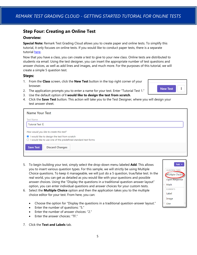## **Step Four: Creating an Online Test**

#### **Overview:**

**Special Note:** Remark Test Grading Cloud allows you to create paper and online tests. To simplify this tutorial, it only focuses on online tests. If you would like to conduct paper tests, there is a separate tutorial [here.](https://remarksoftware.com/support/documentation/test-grading/)

Now that you have a class, you can create a test to give to your new class. Online tests are distributed to students via email. Using the test designer, you can insert the appropriate number of test questions and answer choices, as well as add lines and images, and much more. For the purposes of this tutorial, we will create a simple 5 question test.

#### **Steps:**

- 1. From the **Class** screen, click the **New Test** button in the top right corner of your browser.
- 2. The application prompts you to enter a name for your test. Enter "Tutorial Test 1."



Add  $\rightarrow$ 

**QUESTION TYPES** Multiple Choice Open Response

Math **ELEMENTS** Label Image Line

- 3. Use the default option of **I would like to design the test from scratch**.
- 4. Click the **Save Test** button. This action will take you to the Test Designer, where you will design your test answer sheet.

| <b>Name Your Test</b>                                                                                                    |
|--------------------------------------------------------------------------------------------------------------------------|
| <b>Test Name</b>                                                                                                         |
| <b>Tutorial Test 1</b>                                                                                                   |
| How would you like to create this test?                                                                                  |
| I would like to design the test from scratch<br>$\bigcirc$ I would like to use one of the predefined standard test forms |
| <b>Save Test</b><br><b>Discard Changes</b>                                                                               |
|                                                                                                                          |

- 5. To begin building your test, simply select the drop-down menu labeled **Add**. This allows you to insert various question types. For this sample, we will strictly be using Multiple Choice questions. To keep it manageable, we will just do a 5 question, true/false test. In the real world, you can get as detailed as you would like with your questions and possible answer choices. Using the "Display the questions in a traditional question-answer layout" option, you can enter individual questions and answer choices for your custom tests.
- 6. Select the **Multiple Choice** option and then the application takes you to the multiple choice editor for your test. From here, you can:
	- Choose the option for "Display the questions in a traditional question-answer layout."
	- Enter the number of questions: "5."
	- Enter the number of answer choices: "2."
	- Enter the answer choices: "TF."
- 7. Click the **Text and Labels** tab.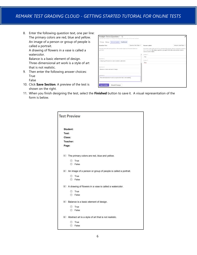- 8. Enter the following question text, one per line: The primary colors are red, blue and yellow. An image of a person or group of people is called a portrait. A drawing of flowers in a vase is called a watercolor. Balance is a basic element of design. Three-dimensional art work is a style of art that is not realistic. 9. Then enter the following answer choices:
- True False
- 10. Click **Save Section**. A preview of the test is shown on the right.

| Question Text                                                                                   | Question Text Style - | Answer Labels                                                                                                                                                                                                  | Answer Label Style - |
|-------------------------------------------------------------------------------------------------|-----------------------|----------------------------------------------------------------------------------------------------------------------------------------------------------------------------------------------------------------|----------------------|
| Associate text with each question in this section (optional if answer labels are<br>specified). |                       | Associate a label with each of the corresponding answer choices (optional if question<br>text is specified). By design, questions grouped within the same section share a<br>common set of labels.<br>Choice T |                      |
| Question 3                                                                                      |                       | True                                                                                                                                                                                                           |                      |
| A drawing of flowers in a vase is called a watercolor.                                          |                       | Choice F<br>Falso                                                                                                                                                                                              |                      |
| Question 4                                                                                      |                       |                                                                                                                                                                                                                |                      |
| Balance is a basic element of design.                                                           |                       |                                                                                                                                                                                                                |                      |
| Question 5                                                                                      |                       |                                                                                                                                                                                                                |                      |
| Three-dimensional art work is a style of art that is not realistic.                             |                       |                                                                                                                                                                                                                |                      |

11. When you finish designing the test, select the **Finished** button to save it. A visual representation of the form is below.

|       |          | <b>Test Preview</b>                                             |
|-------|----------|-----------------------------------------------------------------|
|       | Student: |                                                                 |
| Test: |          |                                                                 |
|       | Class:   |                                                                 |
|       | Teacher: |                                                                 |
| Page: |          |                                                                 |
|       |          | 1 The primary colors are red, blue and yellow.                  |
|       |          | (1) True                                                        |
|       |          | (F) False                                                       |
|       |          | 2 An image of a person or group of people is called a portrait. |
|       |          | (1) True                                                        |
|       |          | <b><i>C</i></b> False                                           |
|       |          | 3 A drawing of flowers in a vase is called a watercolor.        |
|       |          | (1) True                                                        |
|       |          | <b><i>C</i></b> False                                           |
|       |          | 4 Balance is a basic element of design.                         |
|       |          | <b>1</b> True                                                   |
|       |          | (F) False                                                       |
|       |          | 5 Abstract art is a style of art that is not realistic.         |
|       |          | $(1)$ True                                                      |
|       | (F)      | False                                                           |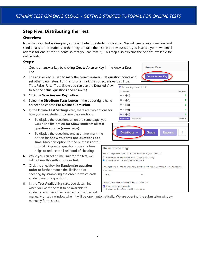## **Step Five: Distributing the Test**

#### **Overview:**

Now that your test is designed, you distribute it to students via email. We will create an answer key and send emails to the students so that they can take the test (in a previous step, you inserted your own email address for one of the students so that you can take it). This step also explains the options available for online tests.

#### **Steps:**

- 1. Create an answer key by clicking **Create Answer Key** in the Answer Keys line.
- 2. The answer key is used to mark the correct answers, set question points and set other parameters. For this tutorial mark the correct answers as True, True, False, False, True. (Note you can use the Detailed View Answer Key Tut

to see the actual questions and answers.)

- 3. Click the **Save Answer Key** button.
- 4. Select the **Distribute Tests** button in the upper right-hand corner and choose **For Online Submission**.
- 5. In the **Online Test Settings** card, there are two options for how you want students to view the questions:
	- To display the questions all on the same page, you would use the option **for Show students all test question at once (same page)**.
	- To display the questions one at a time, mark the option for **Show students one questions at a time**. Mark this option for the purposes of this tutorial. Displaying questions one at a time helps to reduce the likelihood of cheating.
- 6. While you can set a time limit for the test, we will not use this setting for our test.
- 7. Click the checkbox for **Randomize question order** to further reduce the likelihood of cheating by scrambling the order in which each student sees the questions.
- 8. In the **Test Availability** card, you determine when you want the test to be available to students. You can either open and close the test

| <b>Answer Keys</b>       |
|--------------------------|
| <b>Create Answer Key</b> |
|                          |
| torial Test 1            |

| <b>Discard Changes</b><br><b>Save Answer Key</b> | Select All +                          |
|--------------------------------------------------|---------------------------------------|
| $\overline{z}$ 5.<br>$\bigcirc$ (F)              | $\mathbf{r}$                          |
| $\Box$<br>$\bigodot$<br>4.                       | $\left\lceil \mathsf{F} \right\rceil$ |
| $\Box$<br>(7)<br>3.                              | E                                     |
| $\bigcirc$ (F)<br>$\Box$<br>2.                   | ū                                     |

#### **Online Test Settings**

How would you like to present the test questions to your students?

- $\bigcirc$  Show students all test questions at once (same page)
- Show students one test question at a time

Would you like to limit the amount of time a student has to complete the test once started?

| Time Limit |  |
|------------|--|
| None       |  |

How would you like to handle question navigation?

- Randomize question order
- $\Box$  Prevent students from revisiting questions

manually or set a window when it will be open automatically. We are opening the submission window manually for this test.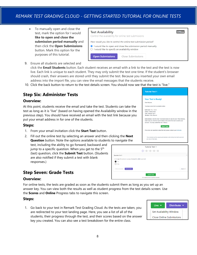• To manually open and close the test, mark the option for I would **like to open and close the submission period manually** and then click the **Open Submissions** button. Mark this option for the purposes of this tutorial.



9. Ensure all students are selected and

click the **Email Students** button. Each student receives an email with a link to the test and the test is now live. Each link is unique to each student. They may only submit the test one time. If the student's browser should crash, their answers are stored until they submit the test. Because you inserted your own email address into the import file, you can view the email messages that the students receive.

10. Click the back button to return to the test details screen. You should now see that the test is "live."

## **Step Six: Administer Tests**

#### **Overview:**

At this point, students receive the email and take the test. Students can take the test as long as it is "live" (based on having opened the Availability window in the previous step). You should have received an email with the test link because you put your email address in for one of the students.

#### **Steps:**

- 1. From your email invitation click the **Start Test** button.
- 2. Fill out the online test by selecting an answer and then click **Question** button. Note the options available to students to

test, including the ability to go forward, backward and jump to a specific question. When you get to the  $5<sup>th</sup>$ (last) question, click the **Submit Test** button. (Students are also notified if they submit a test with blank responses.)

| If you have any questions about this test, please contact your instructor, |                                                                                                                                                                                           |
|----------------------------------------------------------------------------|-------------------------------------------------------------------------------------------------------------------------------------------------------------------------------------------|
| any loss of test data.                                                     |                                                                                                                                                                                           |
| <b>Tutorial Test 1</b>                                                     |                                                                                                                                                                                           |
|                                                                            |                                                                                                                                                                                           |
|                                                                            | $\Box$                                                                                                                                                                                    |
|                                                                            |                                                                                                                                                                                           |
|                                                                            | Jump To *                                                                                                                                                                                 |
| <b>Submit Test</b>                                                         |                                                                                                                                                                                           |
|                                                                            | Your answers will be saved automatically while taking the test to prevent<br>An image of a person or group of people is called a portrait.<br>0% Complete (0 out of 5 questions answered) |

**Tutorial Test 1** 

**Your Test Is Ready!** Dear Mayson.

You have a new test to complete on Instructor: Ms. Smith **Class: Tutorial Class** Test: Tutorial Test 1 Student: Roth, Mayson

Instructions: Click the Start Test button below to take the test. When finis<br>make sure you click the Submit button at the end of the test to submit your<br>answers. You may submit this test 1 time(s). **Start Test** 

## **Step Seven: Grade Tests**

#### **Overview:**

For online tests, the tests are graded as soon as the students submit them as long as you set up an answer key. You can view both the results as well as student progress from the test details screen. Use the **Scores** and **Online** Progress tabs to navigate this screen.

#### **Steps:**

1. Go back to your test in Remark Test Grading Cloud. As the tests are taken, you are redirected to your test landing page. Here, you see a list of all of the students, their progress through the test, and their scores based on the answer key you created. You can also see a test breakdown for the entire class.

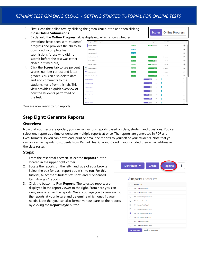2. First, close the online test by clicking the green **Live** button and then clicking **Close Online Submissions**.



- 3. By default, the **Online Progress** tab is displayed, which shows whether invitations have been sent, students' progress and provides the ability to download incomplete test submissions (those who did not submit before the test was either closed or timed out).
- 4. Click the **Scores** tab to see percent scores, number correct and letter grades. You can also delete data and add comments to the students' tests from this tab. This view provides a quick overview of how the students performed on the test.

| , uispiayeu, willui silows wiletilei |                    |             |                     |                                                   |
|--------------------------------------|--------------------|-------------|---------------------|---------------------------------------------------|
| <b>Respondent Online Progress</b>    |                    | Progress    | <b>Elapsed Time</b> | Sessions -                                        |
| Burrows, Rachel O                    | <b>In Progress</b> | 40%         | 1 minute            | $\textcircled{\scriptsize i}$                     |
| Deleon, Martin O                     | <b>Invite Sent</b> |             |                     | $\circled{\scriptstyle i}$                        |
| Gomez, Melissa O                     | <b>Invite Sent</b> |             |                     | $\bigcirc$                                        |
| Huffman, Stanley O                   | Submitted          | 100%        | 21 seconds          | $\textcircled{\textsc{i}}$                        |
| Padilla, Victoria O                  | <b>In Progress</b> | 80%         | 1 minute            | $\bigcirc$                                        |
| Richards, Janice O                   | <b>In Progress</b> | 60%         | 1 minute            | $\begin{array}{c} \textbf{(i)} \end{array}$       |
| Re:<br>Roman, Edward O               | Submitted          | 100%        | 12 seconds          | $\bigcirc$                                        |
| Bur<br>Roth, Mayson O                | Submitted          | 100%        | 2 minutes           | $\textcircled{\textsc{i}}$                        |
| Del<br>Schaefer, Nicole O            | <b>Submitted</b>   | 100%        | 11 seconds          | $\left( \mathbf{i} \right)$                       |
| <b>Gomez</b> , Mellssa               |                    | 100%<br>5/5 | $\overline{A}$      | $\odot$                                           |
| <b>Huffman, Stanley</b>              |                    | 100%<br>5/5 | $\overline{A}$      | $\begin{array}{c} \bullet \end{array}$            |
| Padilla, Victoria                    |                    | 80%<br>4/5  | $\overline{B}$      | $\bigcirc$                                        |
| Richards, Janice                     |                    | 80%<br>4/5  | $\overline{B}$      | $\begin{array}{c} \bullet \\ \bullet \end{array}$ |
| Roman, Edward                        |                    | 60%<br>3/5  | $\overline{D}$      | $\begin{array}{c} \square \end{array}$            |
| Roth, Mayson                         |                    | 100%<br>5/5 | $\Delta$            | $\bigcirc$                                        |
| Schaefer, Nicole                     |                    | 80%<br>4/5  | B                   | $\bigcirc$<br>$_{\rm v}$                          |

You are now ready to run reports.

## **Step Eight: Generate Reports**

#### **Overview:**

Now that your tests are graded, you can run various reports based on class, student and questions. You can select one report at a time or generate multiple reports at once. The reports are generated in PDF and Excel formats, so you can download, print or email the reports to yourself or your students. Note that you can only email reports to students from Remark Test Grading Cloud if you included their email address in the class roster.

#### **Steps:**

- 1. From the test details screen, select the **Reports** button located in the upper right corner.
- 2. Locate the reports on the left-hand side of your browser. Select the box for each report you wish to run. For this tutorial, select the "Student Statistics" and "Condensed Item Analysis" reports.
- 3. Click the button to **Run Reports**. The selected reports are displayed in the report viewer to the right. From here you can view, save or email the reports. We encourage you to view each of the reports at your leisure and determine which ones fit your needs. Note that you can also format various parts of the reports by clicking the **Report Style** button.



**O** Reports: Tutorial Test 1

| п   | Reports (10)                                   |
|-----|------------------------------------------------|
| п   | 100 - Test Analysis Report                     |
| ☑   | 101 - Student Statistics Report                |
| ι٦  | 105 - Student Response Report                  |
| Ι٦  | 150 - Student Grade Report                     |
| ١٦  | 151 - Student Test Report                      |
| п   | 170 - Student Feedback Report                  |
| M   | 204 - Condensed Item Analysis                  |
| . . | 206 - Condensed Test Report                    |
| H   | 310 - Test Statistics Report                   |
| H   | 320 - Test Item Statistics Report              |
|     | <b>Run Reports (2)</b><br>Email Me Reports (2) |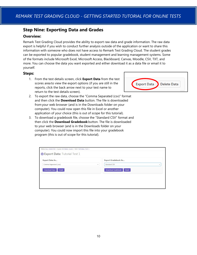## **Step Nine: Exporting Data and Grades**

#### **Overview:**

Remark Test Grading Cloud provides the ability to export raw data and grade information. The raw data export is helpful if you wish to conduct further analysis outside of the application or want to share this information with someone who does not have access to Remark Test Grading Cloud. The student grades can be exported to popular gradebook, student management and learning management systems. Some of the formats include Microsoft Excel, Microsoft Access, Blackboard, Canvas, Moodle, CSV, TXT, and more. You can choose the data you want exported and either download it as a data file or email it to yourself.

#### **Steps:**

- 1. From the test details screen, click **Export Data** from the test scores area to view the export options (if you are still in the reports, click the back arrow next to your test name to return to the test details screen).
- 2. To export the raw data, choose the "Comma Separated (csv)" format and then click the **Download Data** button. The file is downloaded from your web browser (and is in the Downloads folder on your computer). You could now open this file in Excel or another application of your choice (this is out of scope for this tutorial).
- 3. To download a gradebook file, choose the "Standard CSV" format and then click the **Download Gradebook** button. The file is downloaded to your web browser (and is in the Downloads folder on your computer). You could now import this file into your gradebook program (this is out of scope for this tutorial).

| Export Data As                |                          | Export Gradebook As                |                          |
|-------------------------------|--------------------------|------------------------------------|--------------------------|
| Comma-Separated (.csv)        | $\overline{\phantom{a}}$ | Standard CSV                       | $\overline{\phantom{a}}$ |
| <b>Download Data</b><br>Email |                          | <b>Download Gradebook</b><br>Email |                          |
|                               |                          |                                    |                          |